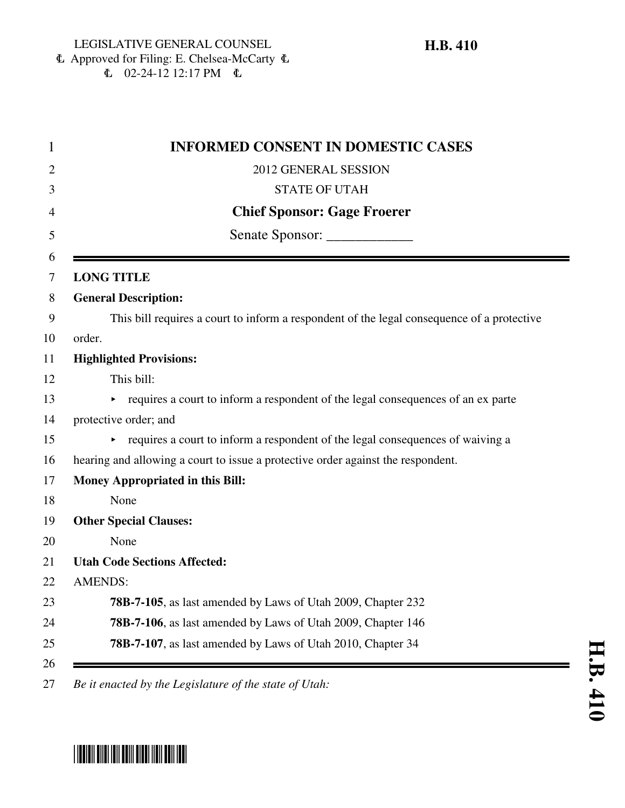#### 6 Approved for Filing: E. Chelsea-McCarty 6  $\mathbf{C}$  02-24-12 12:17 PM  $\mathbf{C}$

| <b>INFORMED CONSENT IN DOMESTIC CASES</b>                                                  |
|--------------------------------------------------------------------------------------------|
| 2012 GENERAL SESSION                                                                       |
| <b>STATE OF UTAH</b>                                                                       |
| <b>Chief Sponsor: Gage Froerer</b>                                                         |
| Senate Sponsor: _______________                                                            |
| <b>LONG TITLE</b>                                                                          |
| <b>General Description:</b>                                                                |
| This bill requires a court to inform a respondent of the legal consequence of a protective |
| order.                                                                                     |
| <b>Highlighted Provisions:</b>                                                             |
| This bill:                                                                                 |
| requires a court to inform a respondent of the legal consequences of an ex parte           |
| protective order; and                                                                      |
| requires a court to inform a respondent of the legal consequences of waiving a             |
| hearing and allowing a court to issue a protective order against the respondent.           |
| <b>Money Appropriated in this Bill:</b>                                                    |
| None                                                                                       |
| <b>Other Special Clauses:</b>                                                              |
| None                                                                                       |
| <b>Utah Code Sections Affected:</b>                                                        |
| <b>AMENDS:</b>                                                                             |
| 78B-7-105, as last amended by Laws of Utah 2009, Chapter 232                               |
| 78B-7-106, as last amended by Laws of Utah 2009, Chapter 146                               |
| 78B-7-107, as last amended by Laws of Utah 2010, Chapter 34                                |

# \*HB0410\*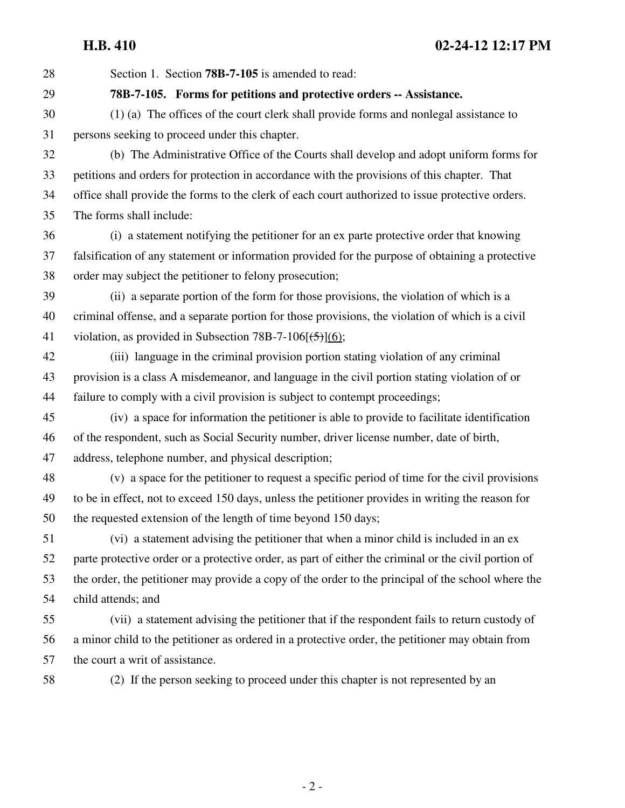28 Section 1. Section **78B-7-105** is amended to read:

29 **78B-7-105. Forms for petitions and protective orders -- Assistance.**

30 (1) (a) The offices of the court clerk shall provide forms and nonlegal assistance to 31 persons seeking to proceed under this chapter.

32 (b) The Administrative Office of the Courts shall develop and adopt uniform forms for 33 petitions and orders for protection in accordance with the provisions of this chapter. That 34 office shall provide the forms to the clerk of each court authorized to issue protective orders. 35 The forms shall include:

36 (i) a statement notifying the petitioner for an ex parte protective order that knowing 37 falsification of any statement or information provided for the purpose of obtaining a protective 38 order may subject the petitioner to felony prosecution;

39 (ii) a separate portion of the form for those provisions, the violation of which is a 40 criminal offense, and a separate portion for those provisions, the violation of which is a civil 41 violation, as provided in Subsection 78B-7-106 $(\frac{5}{(6)}$ ;

42 (iii) language in the criminal provision portion stating violation of any criminal 43 provision is a class A misdemeanor, and language in the civil portion stating violation of or 44 failure to comply with a civil provision is subject to contempt proceedings;

45 (iv) a space for information the petitioner is able to provide to facilitate identification 46 of the respondent, such as Social Security number, driver license number, date of birth, 47 address, telephone number, and physical description;

48 (v) a space for the petitioner to request a specific period of time for the civil provisions 49 to be in effect, not to exceed 150 days, unless the petitioner provides in writing the reason for 50 the requested extension of the length of time beyond 150 days;

51 (vi) a statement advising the petitioner that when a minor child is included in an ex 52 parte protective order or a protective order, as part of either the criminal or the civil portion of 53 the order, the petitioner may provide a copy of the order to the principal of the school where the 54 child attends; and

55 (vii) a statement advising the petitioner that if the respondent fails to return custody of 56 a minor child to the petitioner as ordered in a protective order, the petitioner may obtain from 57 the court a writ of assistance.

58 (2) If the person seeking to proceed under this chapter is not represented by an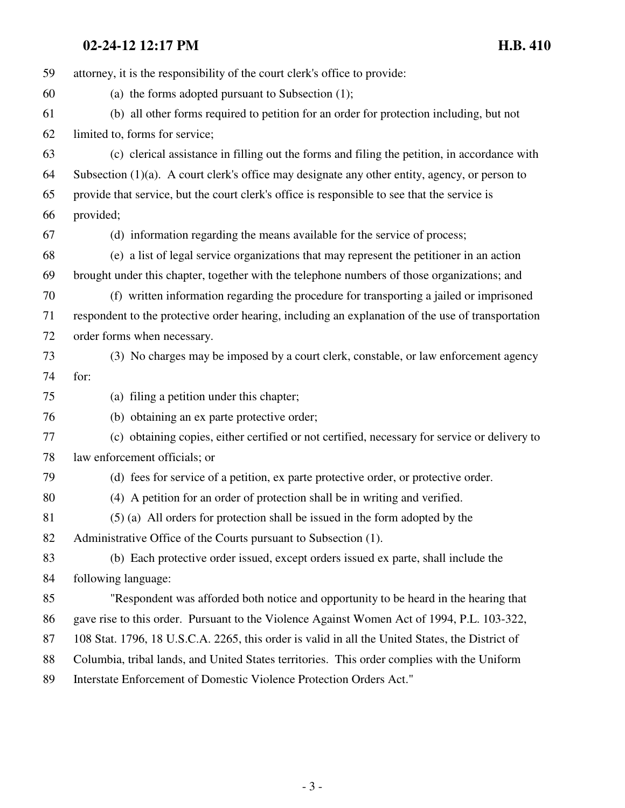| 59 | attorney, it is the responsibility of the court clerk's office to provide:                        |
|----|---------------------------------------------------------------------------------------------------|
| 60 | (a) the forms adopted pursuant to Subsection $(1)$ ;                                              |
| 61 | (b) all other forms required to petition for an order for protection including, but not           |
| 62 | limited to, forms for service;                                                                    |
| 63 | (c) clerical assistance in filling out the forms and filing the petition, in accordance with      |
| 64 | Subsection $(1)(a)$ . A court clerk's office may designate any other entity, agency, or person to |
| 65 | provide that service, but the court clerk's office is responsible to see that the service is      |
| 66 | provided;                                                                                         |
| 67 | (d) information regarding the means available for the service of process;                         |
| 68 | (e) a list of legal service organizations that may represent the petitioner in an action          |
| 69 | brought under this chapter, together with the telephone numbers of those organizations; and       |
| 70 | (f) written information regarding the procedure for transporting a jailed or imprisoned           |
| 71 | respondent to the protective order hearing, including an explanation of the use of transportation |
| 72 | order forms when necessary.                                                                       |
| 73 | (3) No charges may be imposed by a court clerk, constable, or law enforcement agency              |
| 74 | for:                                                                                              |
| 75 | (a) filing a petition under this chapter;                                                         |
| 76 | (b) obtaining an ex parte protective order;                                                       |
| 77 | (c) obtaining copies, either certified or not certified, necessary for service or delivery to     |
| 78 | law enforcement officials; or                                                                     |
| 79 | (d) fees for service of a petition, ex parte protective order, or protective order.               |
| 80 | (4) A petition for an order of protection shall be in writing and verified.                       |
| 81 | (5) (a) All orders for protection shall be issued in the form adopted by the                      |
| 82 | Administrative Office of the Courts pursuant to Subsection (1).                                   |
| 83 | (b) Each protective order issued, except orders issued ex parte, shall include the                |
| 84 | following language:                                                                               |
| 85 | "Respondent was afforded both notice and opportunity to be heard in the hearing that              |
| 86 | gave rise to this order. Pursuant to the Violence Against Women Act of 1994, P.L. 103-322,        |
| 87 | 108 Stat. 1796, 18 U.S.C.A. 2265, this order is valid in all the United States, the District of   |
| 88 | Columbia, tribal lands, and United States territories. This order complies with the Uniform       |
| 89 | Interstate Enforcement of Domestic Violence Protection Orders Act."                               |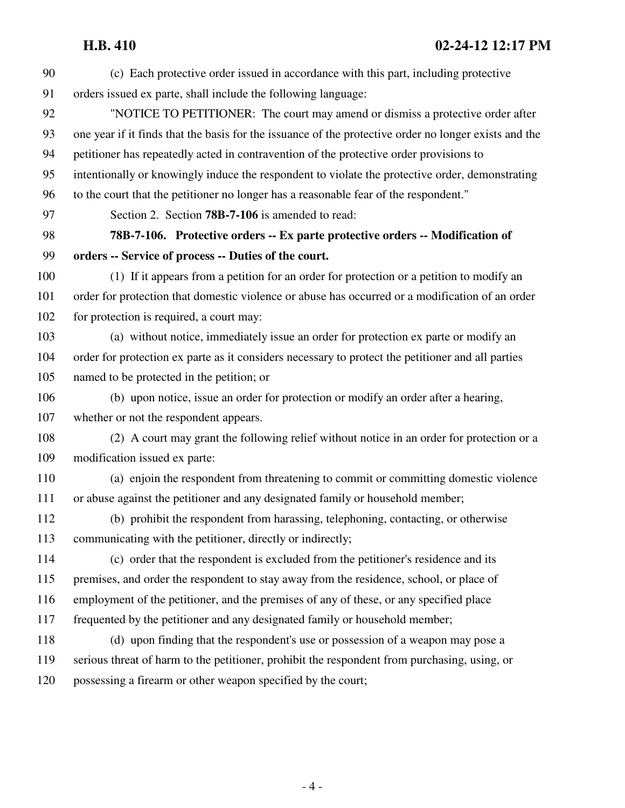## **H.B. 410 02-24-12 12:17 PM**

| 90  | (c) Each protective order issued in accordance with this part, including protective                   |
|-----|-------------------------------------------------------------------------------------------------------|
| 91  | orders issued ex parte, shall include the following language:                                         |
| 92  | "NOTICE TO PETITIONER: The court may amend or dismiss a protective order after                        |
| 93  | one year if it finds that the basis for the issuance of the protective order no longer exists and the |
| 94  | petitioner has repeatedly acted in contravention of the protective order provisions to                |
| 95  | intentionally or knowingly induce the respondent to violate the protective order, demonstrating       |
| 96  | to the court that the petitioner no longer has a reasonable fear of the respondent."                  |
| 97  | Section 2. Section 78B-7-106 is amended to read:                                                      |
| 98  | 78B-7-106. Protective orders -- Ex parte protective orders -- Modification of                         |
| 99  | orders -- Service of process -- Duties of the court.                                                  |
| 100 | (1) If it appears from a petition for an order for protection or a petition to modify an              |
| 101 | order for protection that domestic violence or abuse has occurred or a modification of an order       |
| 102 | for protection is required, a court may:                                                              |
| 103 | (a) without notice, immediately issue an order for protection ex parte or modify an                   |
| 104 | order for protection ex parte as it considers necessary to protect the petitioner and all parties     |
| 105 | named to be protected in the petition; or                                                             |
| 106 | (b) upon notice, issue an order for protection or modify an order after a hearing,                    |
| 107 | whether or not the respondent appears.                                                                |
| 108 | (2) A court may grant the following relief without notice in an order for protection or a             |
| 109 | modification issued ex parte:                                                                         |
| 110 | (a) enjoin the respondent from threatening to commit or committing domestic violence                  |
| 111 | or abuse against the petitioner and any designated family or household member;                        |
| 112 | (b) prohibit the respondent from harassing, telephoning, contacting, or otherwise                     |
| 113 | communicating with the petitioner, directly or indirectly;                                            |
| 114 | (c) order that the respondent is excluded from the petitioner's residence and its                     |
| 115 | premises, and order the respondent to stay away from the residence, school, or place of               |
| 116 | employment of the petitioner, and the premises of any of these, or any specified place                |
| 117 | frequented by the petitioner and any designated family or household member;                           |
| 118 | (d) upon finding that the respondent's use or possession of a weapon may pose a                       |
| 119 | serious threat of harm to the petitioner, prohibit the respondent from purchasing, using, or          |
| 120 | possessing a firearm or other weapon specified by the court;                                          |
|     |                                                                                                       |
|     |                                                                                                       |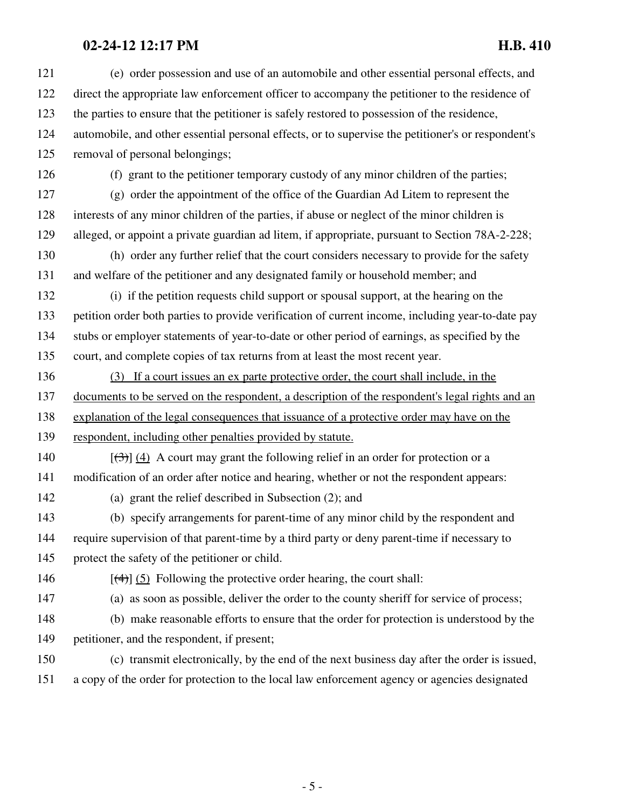| 121 | (e) order possession and use of an automobile and other essential personal effects, and            |
|-----|----------------------------------------------------------------------------------------------------|
| 122 | direct the appropriate law enforcement officer to accompany the petitioner to the residence of     |
| 123 | the parties to ensure that the petitioner is safely restored to possession of the residence,       |
| 124 | automobile, and other essential personal effects, or to supervise the petitioner's or respondent's |
| 125 | removal of personal belongings;                                                                    |
| 126 | (f) grant to the petitioner temporary custody of any minor children of the parties;                |
| 127 | (g) order the appointment of the office of the Guardian Ad Litem to represent the                  |
| 128 | interests of any minor children of the parties, if abuse or neglect of the minor children is       |
| 129 | alleged, or appoint a private guardian ad litem, if appropriate, pursuant to Section 78A-2-228;    |
| 130 | (h) order any further relief that the court considers necessary to provide for the safety          |
| 131 | and welfare of the petitioner and any designated family or household member; and                   |
| 132 | (i) if the petition requests child support or spousal support, at the hearing on the               |
| 133 | petition order both parties to provide verification of current income, including year-to-date pay  |
| 134 | stubs or employer statements of year-to-date or other period of earnings, as specified by the      |
| 135 | court, and complete copies of tax returns from at least the most recent year.                      |
| 136 | (3) If a court issues an ex parte protective order, the court shall include, in the                |
| 137 | documents to be served on the respondent, a description of the respondent's legal rights and an    |
| 138 | explanation of the legal consequences that issuance of a protective order may have on the          |
| 139 | respondent, including other penalties provided by statute.                                         |
| 140 | $[\langle 3\rangle]$ (4) A court may grant the following relief in an order for protection or a    |
| 141 | modification of an order after notice and hearing, whether or not the respondent appears:          |
| 142 | (a) grant the relief described in Subsection (2); and                                              |
| 143 | (b) specify arrangements for parent-time of any minor child by the respondent and                  |
| 144 | require supervision of that parent-time by a third party or deny parent-time if necessary to       |
| 145 | protect the safety of the petitioner or child.                                                     |
| 146 | $[\frac{4}{3}]$ (5) Following the protective order hearing, the court shall:                       |
| 147 | (a) as soon as possible, deliver the order to the county sheriff for service of process;           |
| 148 | (b) make reasonable efforts to ensure that the order for protection is understood by the           |
|     |                                                                                                    |
| 149 | petitioner, and the respondent, if present;                                                        |
| 150 | (c) transmit electronically, by the end of the next business day after the order is issued,        |
| 151 | a copy of the order for protection to the local law enforcement agency or agencies designated      |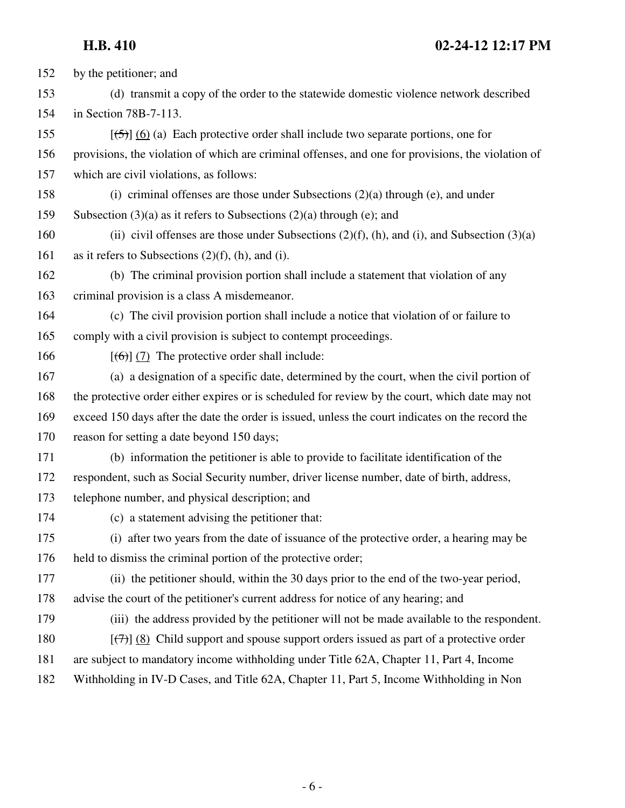## **H.B. 410 02-24-12 12:17 PM**

| 152 | by the petitioner; and                                                                                 |
|-----|--------------------------------------------------------------------------------------------------------|
| 153 | (d) transmit a copy of the order to the statewide domestic violence network described                  |
| 154 | in Section 78B-7-113.                                                                                  |
| 155 | $[56]$ (6) (a) Each protective order shall include two separate portions, one for                      |
| 156 | provisions, the violation of which are criminal offenses, and one for provisions, the violation of     |
| 157 | which are civil violations, as follows:                                                                |
| 158 | (i) criminal offenses are those under Subsections $(2)(a)$ through (e), and under                      |
| 159 | Subsection $(3)(a)$ as it refers to Subsections $(2)(a)$ through $(e)$ ; and                           |
| 160 | (ii) civil offenses are those under Subsections $(2)(f)$ , (h), and (i), and Subsection $(3)(a)$       |
| 161 | as it refers to Subsections $(2)(f)$ , (h), and (i).                                                   |
| 162 | (b) The criminal provision portion shall include a statement that violation of any                     |
| 163 | criminal provision is a class A misdemeanor.                                                           |
| 164 | (c) The civil provision portion shall include a notice that violation of or failure to                 |
| 165 | comply with a civil provision is subject to contempt proceedings.                                      |
| 166 | $[\left(6\right)]$ (7) The protective order shall include:                                             |
| 167 | (a) a designation of a specific date, determined by the court, when the civil portion of               |
| 168 | the protective order either expires or is scheduled for review by the court, which date may not        |
| 169 | exceed 150 days after the date the order is issued, unless the court indicates on the record the       |
| 170 | reason for setting a date beyond 150 days;                                                             |
| 171 | (b) information the petitioner is able to provide to facilitate identification of the                  |
| 172 | respondent, such as Social Security number, driver license number, date of birth, address,             |
| 173 | telephone number, and physical description; and                                                        |
| 174 | (c) a statement advising the petitioner that:                                                          |
| 175 | (i) after two years from the date of issuance of the protective order, a hearing may be                |
| 176 | held to dismiss the criminal portion of the protective order;                                          |
| 177 | (ii) the petitioner should, within the 30 days prior to the end of the two-year period,                |
| 178 | advise the court of the petitioner's current address for notice of any hearing; and                    |
| 179 | (iii) the address provided by the petitioner will not be made available to the respondent.             |
| 180 | $[\overline{(\tau)}]$ (8) Child support and spouse support orders issued as part of a protective order |
| 181 | are subject to mandatory income withholding under Title 62A, Chapter 11, Part 4, Income                |
| 182 | Withholding in IV-D Cases, and Title 62A, Chapter 11, Part 5, Income Withholding in Non                |
|     |                                                                                                        |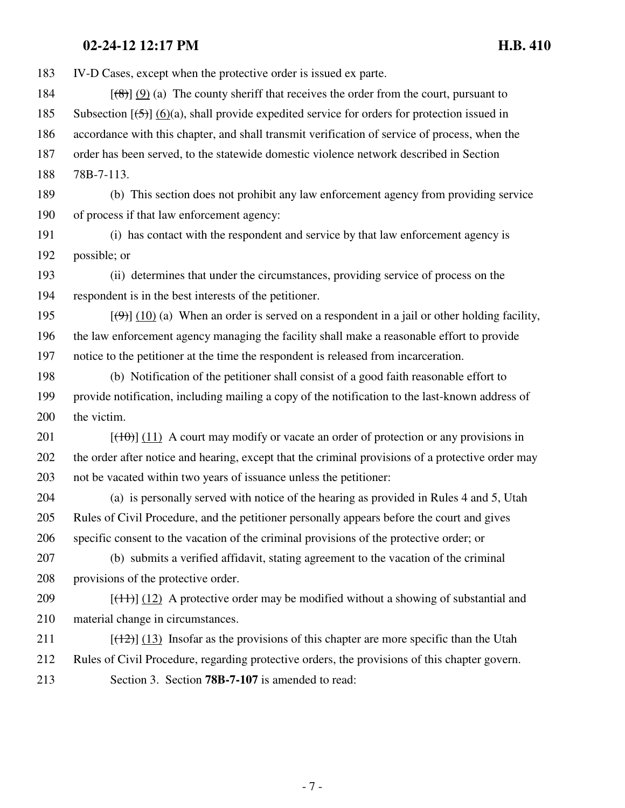183 IV-D Cases, except when the protective order is issued ex parte.

- 184  $[(8)$  (9) (a) The county sheriff that receives the order from the court, pursuant to 185 Subsection  $[\frac{15}{2}]$  (6)(a), shall provide expedited service for orders for protection issued in 186 accordance with this chapter, and shall transmit verification of service of process, when the 187 order has been served, to the statewide domestic violence network described in Section
- 188 78B-7-113.
- 189 (b) This section does not prohibit any law enforcement agency from providing service 190 of process if that law enforcement agency:
- 191 (i) has contact with the respondent and service by that law enforcement agency is 192 possible; or
- 193 (ii) determines that under the circumstances, providing service of process on the 194 respondent is in the best interests of the petitioner.
- 195  $[(9)$ ] (10) (a) When an order is served on a respondent in a jail or other holding facility, 196 the law enforcement agency managing the facility shall make a reasonable effort to provide 197 notice to the petitioner at the time the respondent is released from incarceration.
- 198 (b) Notification of the petitioner shall consist of a good faith reasonable effort to 199 provide notification, including mailing a copy of the notification to the last-known address of 200 the victim.
- 201  $[(10)(11)]$  A court may modify or vacate an order of protection or any provisions in 202 the order after notice and hearing, except that the criminal provisions of a protective order may 203 not be vacated within two years of issuance unless the petitioner:
- 204 (a) is personally served with notice of the hearing as provided in Rules 4 and 5, Utah 205 Rules of Civil Procedure, and the petitioner personally appears before the court and gives 206 specific consent to the vacation of the criminal provisions of the protective order; or
- 207 (b) submits a verified affidavit, stating agreement to the vacation of the criminal 208 provisions of the protective order.
- 209  $[(11)] (12)$  A protective order may be modified without a showing of substantial and 210 material change in circumstances.
- 211  $[(12)] (13)$  Insofar as the provisions of this chapter are more specific than the Utah 212 Rules of Civil Procedure, regarding protective orders, the provisions of this chapter govern. 213 Section 3. Section **78B-7-107** is amended to read: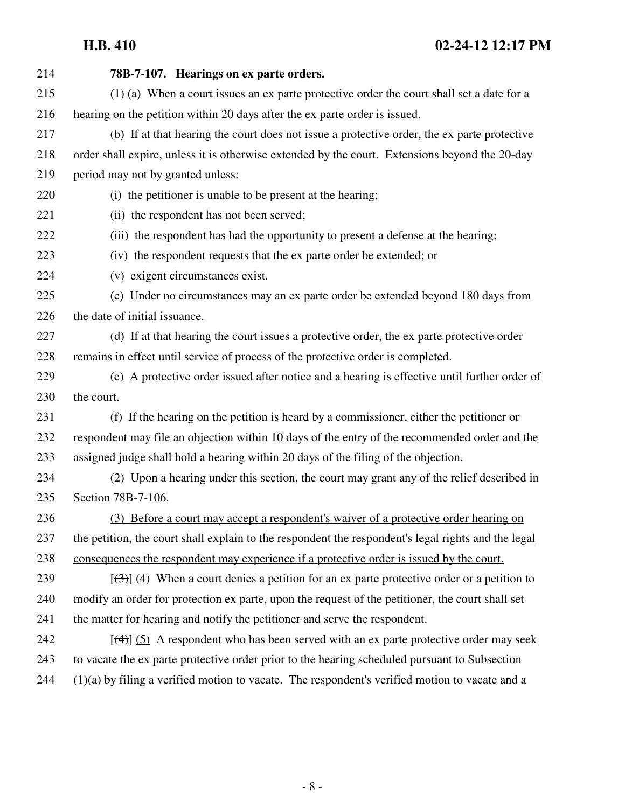## **H.B. 410 02-24-12 12:17 PM**

| 214 | 78B-7-107. Hearings on ex parte orders.                                                                   |
|-----|-----------------------------------------------------------------------------------------------------------|
| 215 | (1) (a) When a court issues an ex parte protective order the court shall set a date for a                 |
| 216 | hearing on the petition within 20 days after the ex parte order is issued.                                |
| 217 | (b) If at that hearing the court does not issue a protective order, the ex parte protective               |
| 218 | order shall expire, unless it is otherwise extended by the court. Extensions beyond the 20-day            |
| 219 | period may not by granted unless:                                                                         |
| 220 | (i) the petitioner is unable to be present at the hearing;                                                |
| 221 | (ii) the respondent has not been served;                                                                  |
| 222 | (iii) the respondent has had the opportunity to present a defense at the hearing;                         |
| 223 | (iv) the respondent requests that the ex parte order be extended; or                                      |
| 224 | (v) exigent circumstances exist.                                                                          |
| 225 | (c) Under no circumstances may an ex parte order be extended beyond 180 days from                         |
| 226 | the date of initial issuance.                                                                             |
| 227 | (d) If at that hearing the court issues a protective order, the ex parte protective order                 |
| 228 | remains in effect until service of process of the protective order is completed.                          |
| 229 | (e) A protective order issued after notice and a hearing is effective until further order of              |
| 230 | the court.                                                                                                |
| 231 | (f) If the hearing on the petition is heard by a commissioner, either the petitioner or                   |
| 232 | respondent may file an objection within 10 days of the entry of the recommended order and the             |
| 233 | assigned judge shall hold a hearing within 20 days of the filing of the objection.                        |
| 234 | (2) Upon a hearing under this section, the court may grant any of the relief described in                 |
| 235 | Section 78B-7-106.                                                                                        |
| 236 | (3) Before a court may accept a respondent's waiver of a protective order hearing on                      |
| 237 | the petition, the court shall explain to the respondent the respondent's legal rights and the legal       |
| 238 | consequences the respondent may experience if a protective order is issued by the court.                  |
| 239 | $[\langle 3\rangle]$ (4) When a court denies a petition for an ex parte protective order or a petition to |
| 240 | modify an order for protection ex parte, upon the request of the petitioner, the court shall set          |
| 241 | the matter for hearing and notify the petitioner and serve the respondent.                                |
| 242 | $[\frac{4}{3}]$ (5) A respondent who has been served with an ex parte protective order may seek           |
| 243 | to vacate the ex parte protective order prior to the hearing scheduled pursuant to Subsection             |
| 244 | $(1)(a)$ by filing a verified motion to vacate. The respondent's verified motion to vacate and a          |